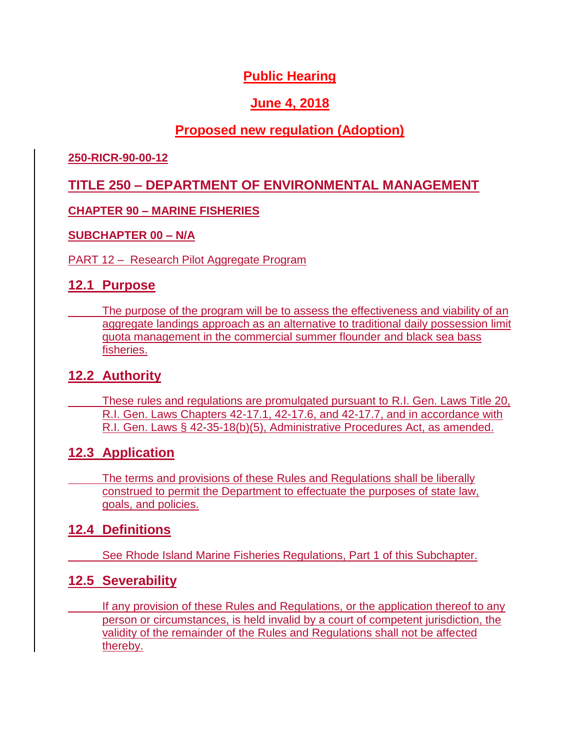# **Public Hearing**

## **June 4, 2018**

## **Proposed new regulation (Adoption)**

#### **250-RICR-90-00-12**

## **TITLE 250 – DEPARTMENT OF ENVIRONMENTAL MANAGEMENT**

### **CHAPTER 90 – MARINE FISHERIES**

#### **SUBCHAPTER 00 – N/A**

#### PART 12 – Research Pilot Aggregate Program

### **12.1 Purpose**

The purpose of the program will be to assess the effectiveness and viability of an aggregate landings approach as an alternative to traditional daily possession limit quota management in the commercial summer flounder and black sea bass fisheries.

### **12.2 Authority**

These rules and regulations are promulgated pursuant to R.I. Gen. Laws Title 20, R.I. Gen. Laws Chapters 42-17.1, 42-17.6, and 42-17.7, and in accordance with R.I. Gen. Laws § 42-35-18(b)(5), Administrative Procedures Act, as amended.

### **12.3 Application**

The terms and provisions of these Rules and Regulations shall be liberally construed to permit the Department to effectuate the purposes of state law, goals, and policies.

## **12.4 Definitions**

See Rhode Island Marine Fisheries Regulations, Part 1 of this Subchapter.

## **12.5 Severability**

If any provision of these Rules and Regulations, or the application thereof to any person or circumstances, is held invalid by a court of competent jurisdiction, the validity of the remainder of the Rules and Regulations shall not be affected thereby.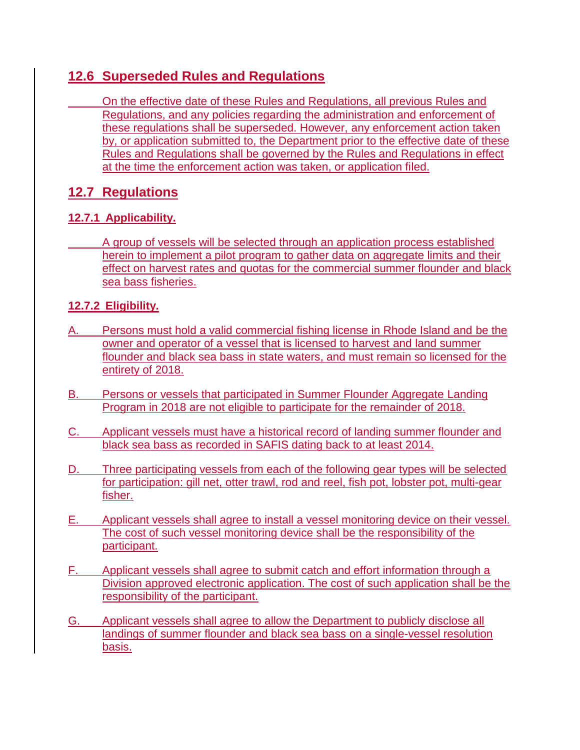## **12.6 Superseded Rules and Regulations**

On the effective date of these Rules and Regulations, all previous Rules and Regulations, and any policies regarding the administration and enforcement of these regulations shall be superseded. However, any enforcement action taken by, or application submitted to, the Department prior to the effective date of these Rules and Regulations shall be governed by the Rules and Regulations in effect at the time the enforcement action was taken, or application filed.

# **12.7 Regulations**

### **12.7.1 Applicability.**

A group of vessels will be selected through an application process established herein to implement a pilot program to gather data on aggregate limits and their effect on harvest rates and quotas for the commercial summer flounder and black sea bass fisheries.

### **12.7.2 Eligibility.**

- A. Persons must hold a valid commercial fishing license in Rhode Island and be the owner and operator of a vessel that is licensed to harvest and land summer flounder and black sea bass in state waters, and must remain so licensed for the entirety of 2018.
- B. Persons or vessels that participated in Summer Flounder Aggregate Landing Program in 2018 are not eligible to participate for the remainder of 2018.
- C. Applicant vessels must have a historical record of landing summer flounder and black sea bass as recorded in SAFIS dating back to at least 2014.
- D. Three participating vessels from each of the following gear types will be selected for participation: gill net, otter trawl, rod and reel, fish pot, lobster pot, multi-gear fisher.
- E. Applicant vessels shall agree to install a vessel monitoring device on their vessel. The cost of such vessel monitoring device shall be the responsibility of the participant.
- F. Applicant vessels shall agree to submit catch and effort information through a Division approved electronic application. The cost of such application shall be the responsibility of the participant.
- G. Applicant vessels shall agree to allow the Department to publicly disclose all landings of summer flounder and black sea bass on a single-vessel resolution basis.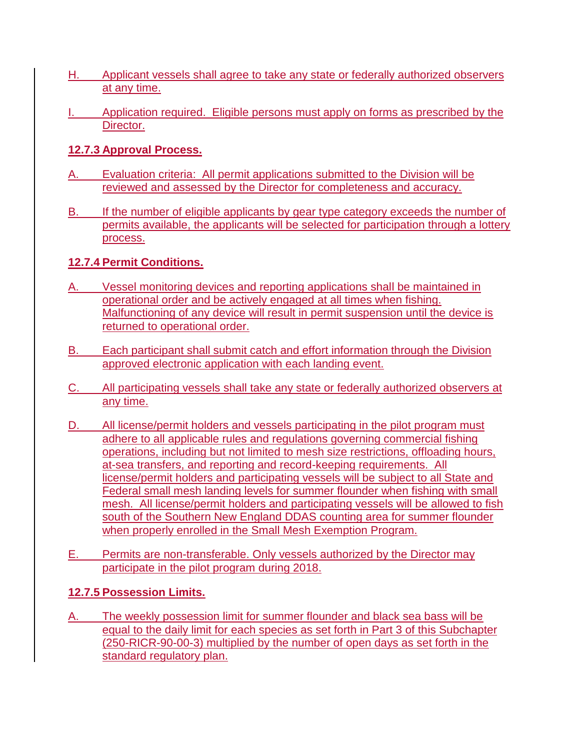- H. Applicant vessels shall agree to take any state or federally authorized observers at any time.
- Application required. Eligible persons must apply on forms as prescribed by the Director.

#### **12.7.3 Approval Process.**

- A. Evaluation criteria: All permit applications submitted to the Division will be reviewed and assessed by the Director for completeness and accuracy.
- B. If the number of eligible applicants by gear type category exceeds the number of permits available, the applicants will be selected for participation through a lottery process.

### **12.7.4 Permit Conditions.**

- A. Vessel monitoring devices and reporting applications shall be maintained in operational order and be actively engaged at all times when fishing. Malfunctioning of any device will result in permit suspension until the device is returned to operational order.
- B. Each participant shall submit catch and effort information through the Division approved electronic application with each landing event.
- C. All participating vessels shall take any state or federally authorized observers at any time.
- D. All license/permit holders and vessels participating in the pilot program must adhere to all applicable rules and regulations governing commercial fishing operations, including but not limited to mesh size restrictions, offloading hours, at-sea transfers, and reporting and record-keeping requirements. All license/permit holders and participating vessels will be subject to all State and Federal small mesh landing levels for summer flounder when fishing with small mesh. All license/permit holders and participating vessels will be allowed to fish south of the Southern New England DDAS counting area for summer flounder when properly enrolled in the Small Mesh Exemption Program.
- E. Permits are non-transferable. Only vessels authorized by the Director may participate in the pilot program during 2018.

#### **12.7.5 Possession Limits.**

A. The weekly possession limit for summer flounder and black sea bass will be equal to the daily limit for each species as set forth in Part 3 of this Subchapter (250-RICR-90-00-3) multiplied by the number of open days as set forth in the standard regulatory plan.